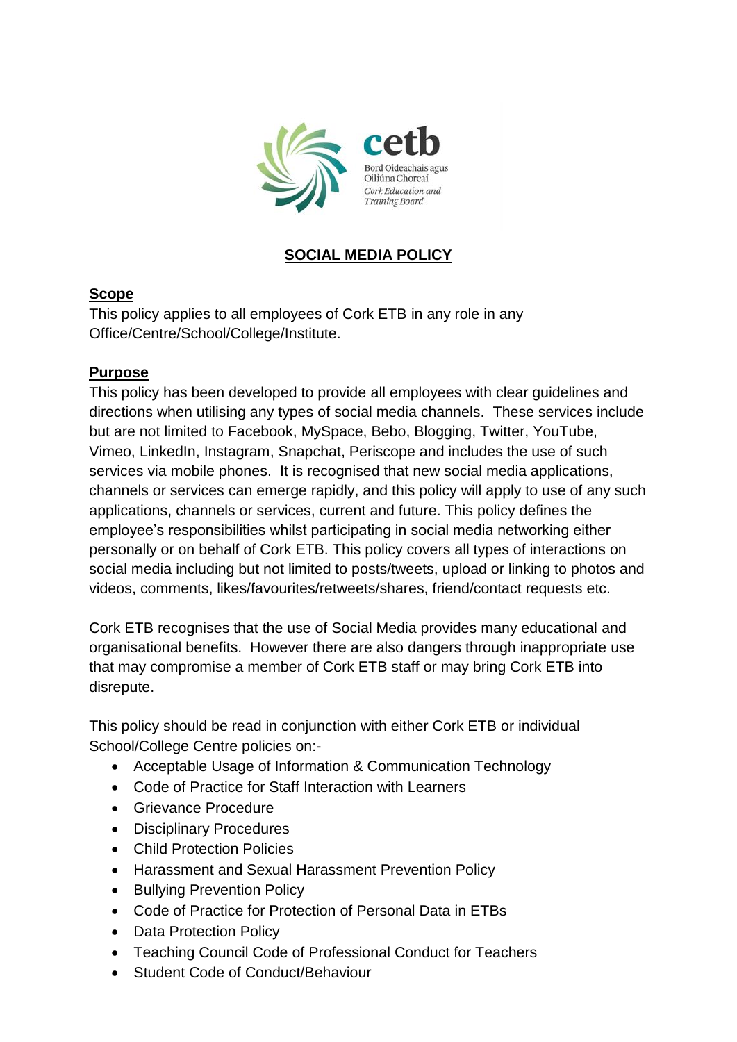

# **SOCIAL MEDIA POLICY**

### **Scope**

This policy applies to all employees of Cork ETB in any role in any Office/Centre/School/College/Institute.

## **Purpose**

This policy has been developed to provide all employees with clear guidelines and directions when utilising any types of social media channels. These services include but are not limited to Facebook, MySpace, Bebo, Blogging, Twitter, YouTube, Vimeo, LinkedIn, Instagram, Snapchat, Periscope and includes the use of such services via mobile phones. It is recognised that new social media applications, channels or services can emerge rapidly, and this policy will apply to use of any such applications, channels or services, current and future. This policy defines the employee's responsibilities whilst participating in social media networking either personally or on behalf of Cork ETB. This policy covers all types of interactions on social media including but not limited to posts/tweets, upload or linking to photos and videos, comments, likes/favourites/retweets/shares, friend/contact requests etc.

Cork ETB recognises that the use of Social Media provides many educational and organisational benefits. However there are also dangers through inappropriate use that may compromise a member of Cork ETB staff or may bring Cork ETB into disrepute.

This policy should be read in conjunction with either Cork ETB or individual School/College Centre policies on:-

- Acceptable Usage of Information & Communication Technology
- Code of Practice for Staff Interaction with Learners
- Grievance Procedure
- Disciplinary Procedures
- Child Protection Policies
- Harassment and Sexual Harassment Prevention Policy
- Bullying Prevention Policy
- Code of Practice for Protection of Personal Data in ETBs
- Data Protection Policy
- Teaching Council Code of Professional Conduct for Teachers
- Student Code of Conduct/Behaviour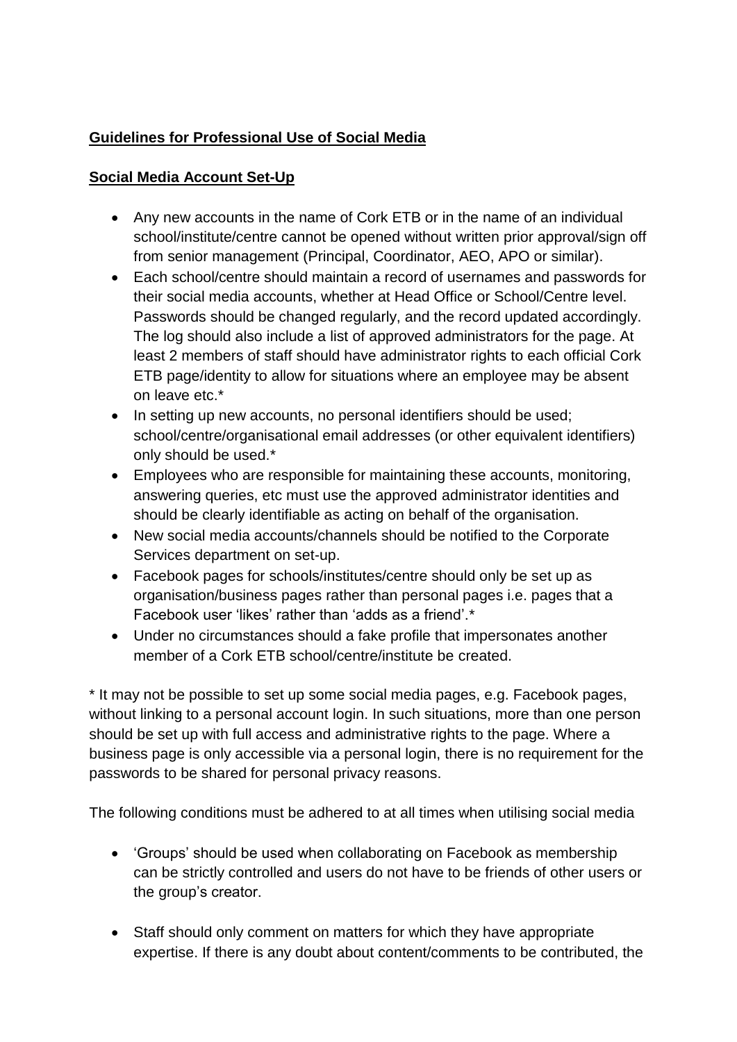# **Guidelines for Professional Use of Social Media**

# **Social Media Account Set-Up**

- Any new accounts in the name of Cork ETB or in the name of an individual school/institute/centre cannot be opened without written prior approval/sign off from senior management (Principal, Coordinator, AEO, APO or similar).
- Each school/centre should maintain a record of usernames and passwords for their social media accounts, whether at Head Office or School/Centre level. Passwords should be changed regularly, and the record updated accordingly. The log should also include a list of approved administrators for the page. At least 2 members of staff should have administrator rights to each official Cork ETB page/identity to allow for situations where an employee may be absent on leave etc.\*
- In setting up new accounts, no personal identifiers should be used; school/centre/organisational email addresses (or other equivalent identifiers) only should be used.\*
- Employees who are responsible for maintaining these accounts, monitoring, answering queries, etc must use the approved administrator identities and should be clearly identifiable as acting on behalf of the organisation.
- New social media accounts/channels should be notified to the Corporate Services department on set-up.
- Facebook pages for schools/institutes/centre should only be set up as organisation/business pages rather than personal pages i.e. pages that a Facebook user 'likes' rather than 'adds as a friend'.<sup>\*</sup>
- Under no circumstances should a fake profile that impersonates another member of a Cork ETB school/centre/institute be created.

\* It may not be possible to set up some social media pages, e.g. Facebook pages, without linking to a personal account login. In such situations, more than one person should be set up with full access and administrative rights to the page. Where a business page is only accessible via a personal login, there is no requirement for the passwords to be shared for personal privacy reasons.

The following conditions must be adhered to at all times when utilising social media

- 'Groups' should be used when collaborating on Facebook as membership can be strictly controlled and users do not have to be friends of other users or the group's creator.
- Staff should only comment on matters for which they have appropriate expertise. If there is any doubt about content/comments to be contributed, the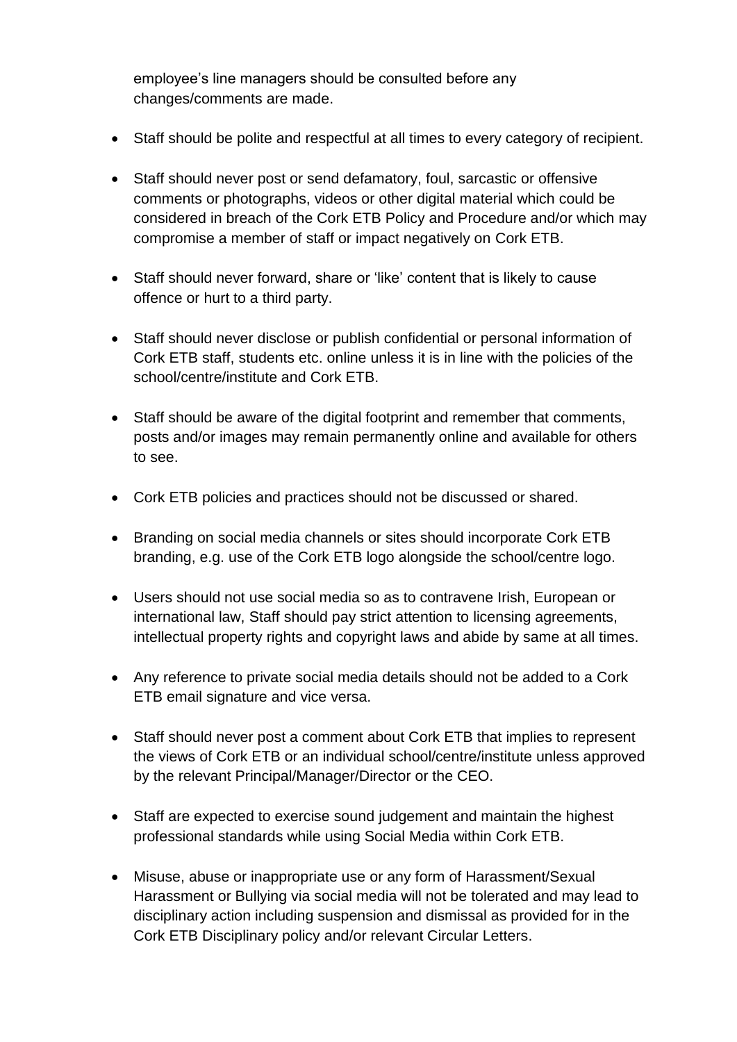employee's line managers should be consulted before any changes/comments are made.

- Staff should be polite and respectful at all times to every category of recipient.
- Staff should never post or send defamatory, foul, sarcastic or offensive comments or photographs, videos or other digital material which could be considered in breach of the Cork ETB Policy and Procedure and/or which may compromise a member of staff or impact negatively on Cork ETB.
- Staff should never forward, share or 'like' content that is likely to cause offence or hurt to a third party.
- Staff should never disclose or publish confidential or personal information of Cork ETB staff, students etc. online unless it is in line with the policies of the school/centre/institute and Cork ETB.
- Staff should be aware of the digital footprint and remember that comments, posts and/or images may remain permanently online and available for others to see.
- Cork ETB policies and practices should not be discussed or shared.
- Branding on social media channels or sites should incorporate Cork ETB branding, e.g. use of the Cork ETB logo alongside the school/centre logo.
- Users should not use social media so as to contravene Irish, European or international law, Staff should pay strict attention to licensing agreements, intellectual property rights and copyright laws and abide by same at all times.
- Any reference to private social media details should not be added to a Cork ETB email signature and vice versa.
- Staff should never post a comment about Cork ETB that implies to represent the views of Cork ETB or an individual school/centre/institute unless approved by the relevant Principal/Manager/Director or the CEO.
- Staff are expected to exercise sound judgement and maintain the highest professional standards while using Social Media within Cork ETB.
- Misuse, abuse or inappropriate use or any form of Harassment/Sexual Harassment or Bullying via social media will not be tolerated and may lead to disciplinary action including suspension and dismissal as provided for in the Cork ETB Disciplinary policy and/or relevant Circular Letters.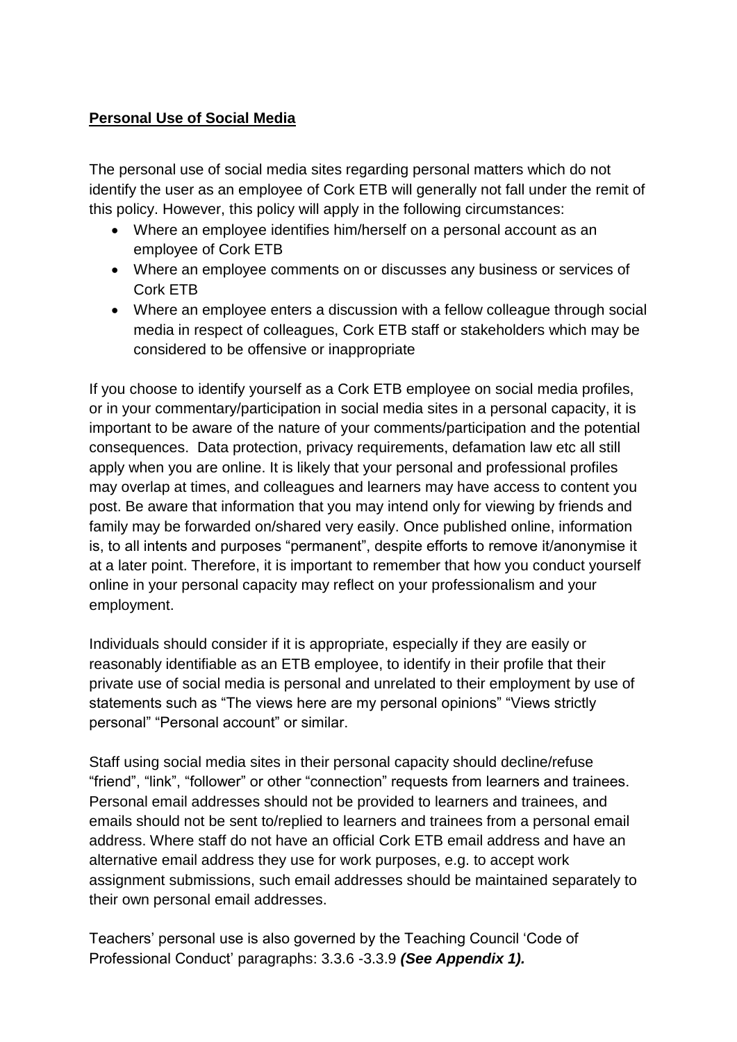## **Personal Use of Social Media**

The personal use of social media sites regarding personal matters which do not identify the user as an employee of Cork ETB will generally not fall under the remit of this policy. However, this policy will apply in the following circumstances:

- Where an employee identifies him/herself on a personal account as an employee of Cork ETB
- Where an employee comments on or discusses any business or services of Cork ETB
- Where an employee enters a discussion with a fellow colleague through social media in respect of colleagues, Cork ETB staff or stakeholders which may be considered to be offensive or inappropriate

If you choose to identify yourself as a Cork ETB employee on social media profiles, or in your commentary/participation in social media sites in a personal capacity, it is important to be aware of the nature of your comments/participation and the potential consequences. Data protection, privacy requirements, defamation law etc all still apply when you are online. It is likely that your personal and professional profiles may overlap at times, and colleagues and learners may have access to content you post. Be aware that information that you may intend only for viewing by friends and family may be forwarded on/shared very easily. Once published online, information is, to all intents and purposes "permanent", despite efforts to remove it/anonymise it at a later point. Therefore, it is important to remember that how you conduct yourself online in your personal capacity may reflect on your professionalism and your employment.

Individuals should consider if it is appropriate, especially if they are easily or reasonably identifiable as an ETB employee, to identify in their profile that their private use of social media is personal and unrelated to their employment by use of statements such as "The views here are my personal opinions" "Views strictly personal" "Personal account" or similar.

Staff using social media sites in their personal capacity should decline/refuse "friend", "link", "follower" or other "connection" requests from learners and trainees. Personal email addresses should not be provided to learners and trainees, and emails should not be sent to/replied to learners and trainees from a personal email address. Where staff do not have an official Cork ETB email address and have an alternative email address they use for work purposes, e.g. to accept work assignment submissions, such email addresses should be maintained separately to their own personal email addresses.

Teachers' personal use is also governed by the Teaching Council 'Code of Professional Conduct' paragraphs: 3.3.6 -3.3.9 *(See Appendix 1).*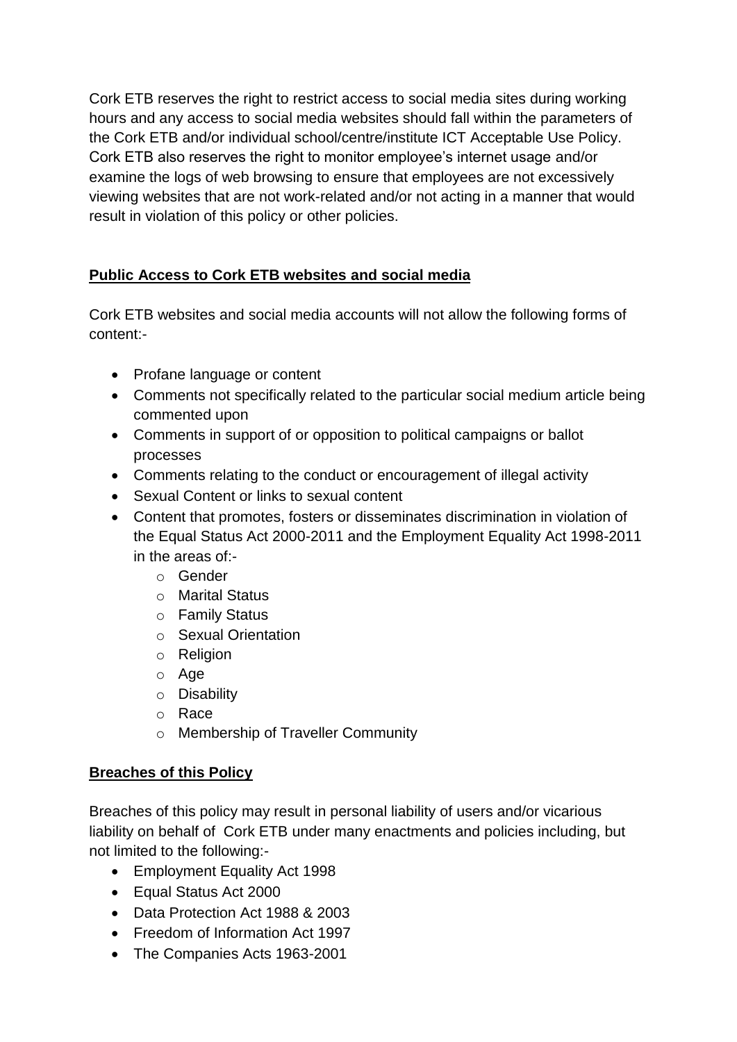Cork ETB reserves the right to restrict access to social media sites during working hours and any access to social media websites should fall within the parameters of the Cork ETB and/or individual school/centre/institute ICT Acceptable Use Policy. Cork ETB also reserves the right to monitor employee's internet usage and/or examine the logs of web browsing to ensure that employees are not excessively viewing websites that are not work-related and/or not acting in a manner that would result in violation of this policy or other policies.

# **Public Access to Cork ETB websites and social media**

Cork ETB websites and social media accounts will not allow the following forms of content:-

- Profane language or content
- Comments not specifically related to the particular social medium article being commented upon
- Comments in support of or opposition to political campaigns or ballot processes
- Comments relating to the conduct or encouragement of illegal activity
- Sexual Content or links to sexual content
- Content that promotes, fosters or disseminates discrimination in violation of the Equal Status Act 2000-2011 and the Employment Equality Act 1998-2011 in the areas of:
	- o Gender
	- o Marital Status
	- o Family Status
	- o Sexual Orientation
	- o Religion
	- o Age
	- o Disability
	- o Race
	- o Membership of Traveller Community

### **Breaches of this Policy**

Breaches of this policy may result in personal liability of users and/or vicarious liability on behalf of Cork ETB under many enactments and policies including, but not limited to the following:-

- Employment Equality Act 1998
- Equal Status Act 2000
- Data Protection Act 1988 & 2003
- Freedom of Information Act 1997
- The Companies Acts 1963-2001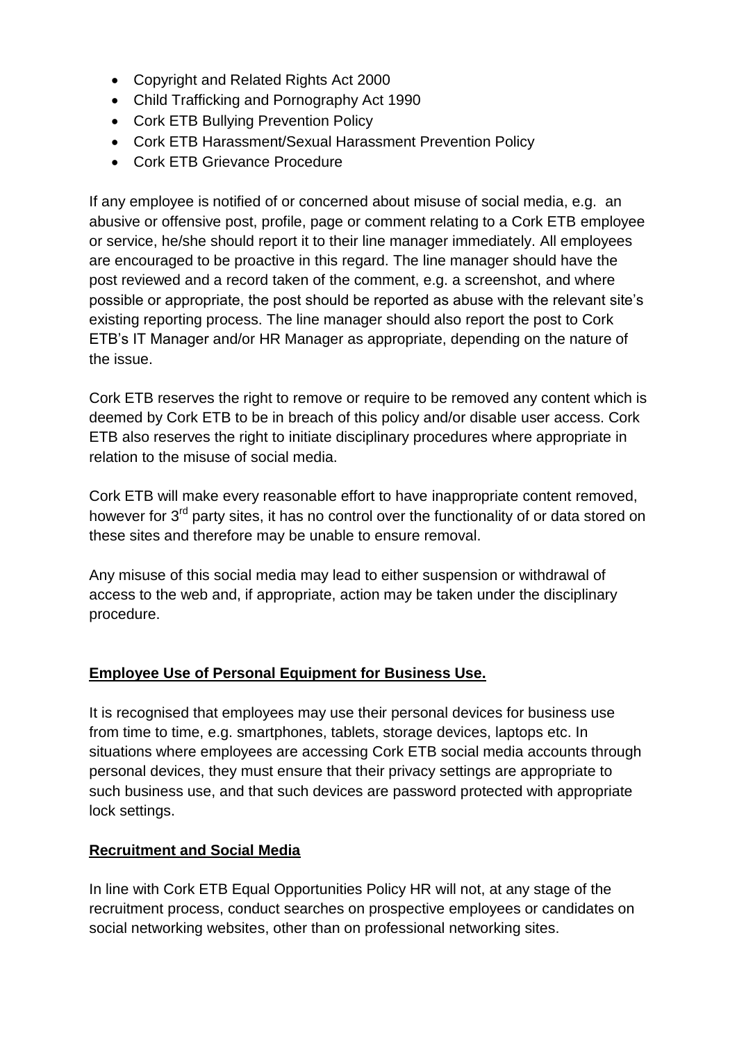- Copyright and Related Rights Act 2000
- Child Trafficking and Pornography Act 1990
- Cork ETB Bullying Prevention Policy
- Cork ETB Harassment/Sexual Harassment Prevention Policy
- Cork ETB Grievance Procedure

If any employee is notified of or concerned about misuse of social media, e.g. an abusive or offensive post, profile, page or comment relating to a Cork ETB employee or service, he/she should report it to their line manager immediately. All employees are encouraged to be proactive in this regard. The line manager should have the post reviewed and a record taken of the comment, e.g. a screenshot, and where possible or appropriate, the post should be reported as abuse with the relevant site's existing reporting process. The line manager should also report the post to Cork ETB's IT Manager and/or HR Manager as appropriate, depending on the nature of the issue.

Cork ETB reserves the right to remove or require to be removed any content which is deemed by Cork ETB to be in breach of this policy and/or disable user access. Cork ETB also reserves the right to initiate disciplinary procedures where appropriate in relation to the misuse of social media.

Cork ETB will make every reasonable effort to have inappropriate content removed, however for 3<sup>rd</sup> party sites, it has no control over the functionality of or data stored on these sites and therefore may be unable to ensure removal.

Any misuse of this social media may lead to either suspension or withdrawal of access to the web and, if appropriate, action may be taken under the disciplinary procedure.

### **Employee Use of Personal Equipment for Business Use.**

It is recognised that employees may use their personal devices for business use from time to time, e.g. smartphones, tablets, storage devices, laptops etc. In situations where employees are accessing Cork ETB social media accounts through personal devices, they must ensure that their privacy settings are appropriate to such business use, and that such devices are password protected with appropriate lock settings.

### **Recruitment and Social Media**

In line with Cork ETB Equal Opportunities Policy HR will not, at any stage of the recruitment process, conduct searches on prospective employees or candidates on social networking websites, other than on professional networking sites.